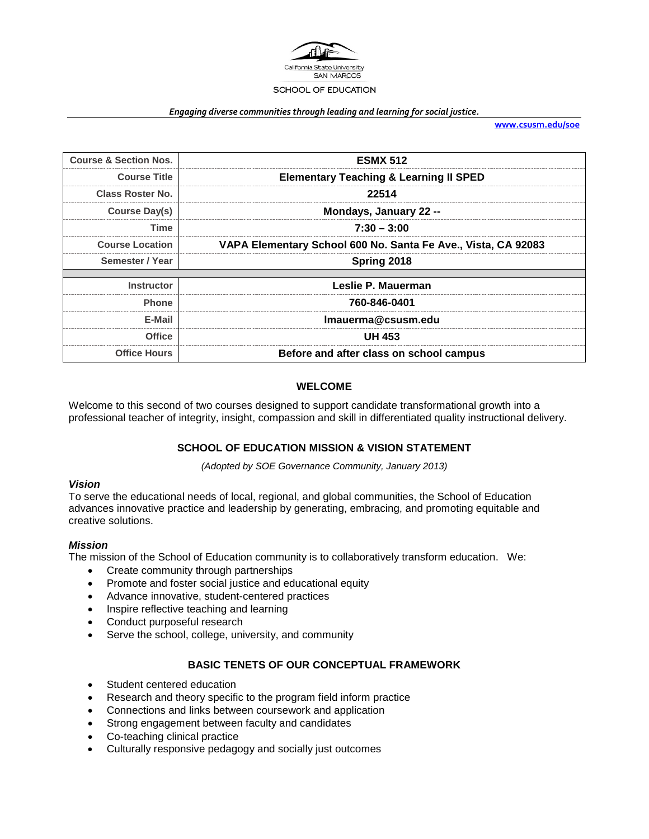

#### *Engaging diverse communities through leading and learning for social justice.*

**[www.csusm.edu/soe](http://www.csusm.edu/soe)**

| <b>Course &amp; Section Nos.</b> | <b>ESMX 512</b>                                               |  |
|----------------------------------|---------------------------------------------------------------|--|
| <b>Course Title</b>              | <b>Elementary Teaching &amp; Learning II SPED</b>             |  |
| Class Roster No.                 | 22514                                                         |  |
| Course Day(s)                    | Mondays, January 22 --                                        |  |
| Time                             | $7:30 - 3:00$                                                 |  |
| <b>Course Location</b>           | VAPA Elementary School 600 No. Santa Fe Ave., Vista, CA 92083 |  |
| Semester / Year                  | Spring 2018                                                   |  |
|                                  |                                                               |  |
| <b>Instructor</b>                | Leslie P. Mauerman                                            |  |
| <b>Phone</b>                     | 760-846-0401                                                  |  |
| E-Mail                           | Imauerma@csusm.edu                                            |  |
| <b>Office</b>                    | <b>UH 453</b>                                                 |  |
| <b>Office Hours</b>              | Before and after class on school campus                       |  |

#### **WELCOME**

Welcome to this second of two courses designed to support candidate transformational growth into a professional teacher of integrity, insight, compassion and skill in differentiated quality instructional delivery.

## **SCHOOL OF EDUCATION MISSION & VISION STATEMENT**

*(Adopted by SOE Governance Community, January 2013)*

#### *Vision*

To serve the educational needs of local, regional, and global communities, the School of Education advances innovative practice and leadership by generating, embracing, and promoting equitable and creative solutions.

#### *Mission*

The mission of the School of Education community is to collaboratively transform education. We:

- Create community through partnerships
- Promote and foster social justice and educational equity
- Advance innovative, student-centered practices
- Inspire reflective teaching and learning
- Conduct purposeful research
- Serve the school, college, university, and community

#### **BASIC TENETS OF OUR CONCEPTUAL FRAMEWORK**

- Student centered education
- Research and theory specific to the program field inform practice
- Connections and links between coursework and application
- Strong engagement between faculty and candidates
- Co-teaching clinical practice
- Culturally responsive pedagogy and socially just outcomes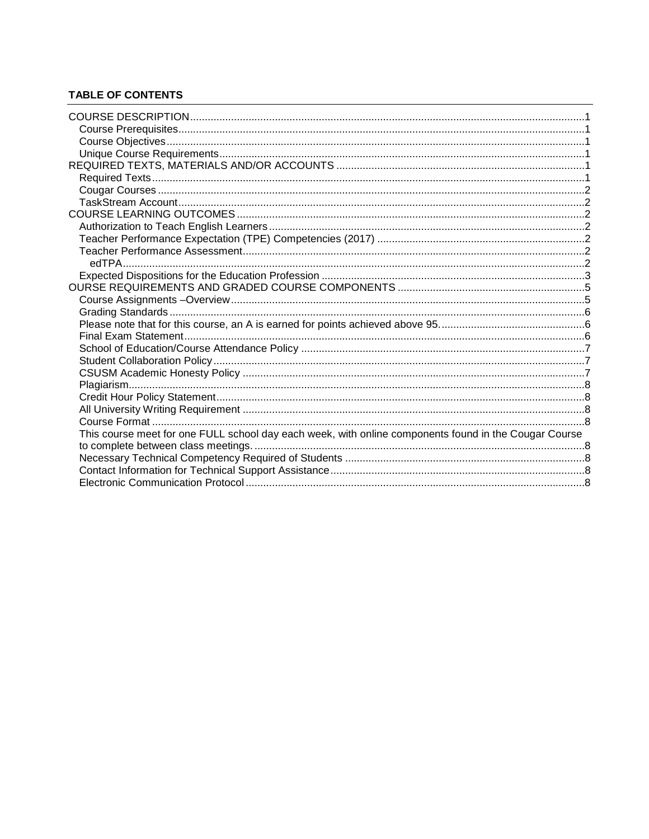# **TABLE OF CONTENTS**

| This course meet for one FULL school day each week, with online components found in the Cougar Course |  |
|-------------------------------------------------------------------------------------------------------|--|
|                                                                                                       |  |
|                                                                                                       |  |
|                                                                                                       |  |
|                                                                                                       |  |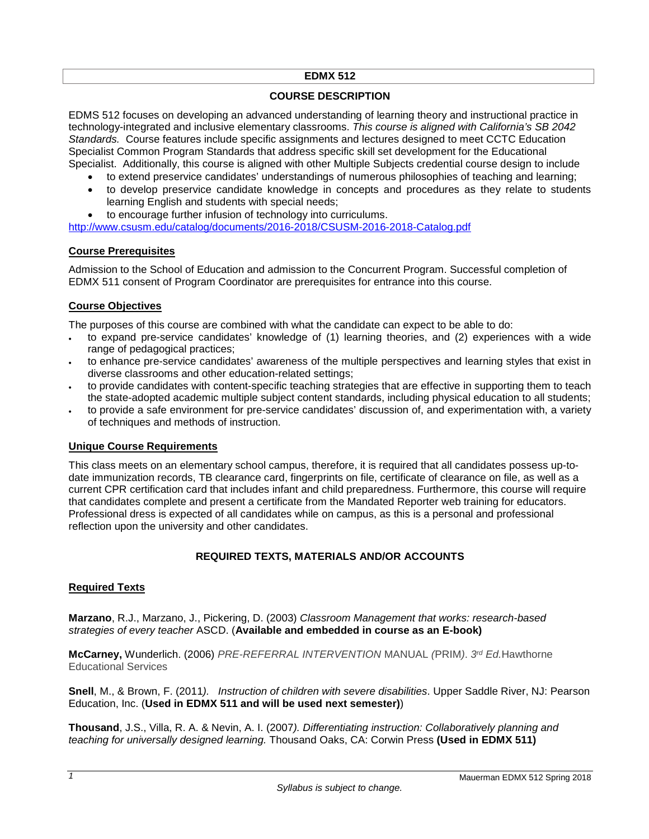#### **EDMX 512**

#### **COURSE DESCRIPTION**

<span id="page-2-0"></span>EDMS 512 focuses on developing an advanced understanding of learning theory and instructional practice in technology-integrated and inclusive elementary classrooms. *This course is aligned with California's SB 2042 Standards.* Course features include specific assignments and lectures designed to meet CCTC Education Specialist Common Program Standards that address specific skill set development for the Educational Specialist. Additionally, this course is aligned with other Multiple Subjects credential course design to include

- to extend preservice candidates' understandings of numerous philosophies of teaching and learning;
- to develop preservice candidate knowledge in concepts and procedures as they relate to students learning English and students with special needs;
- to encourage further infusion of technology into curriculums.

<http://www.csusm.edu/catalog/documents/2016-2018/CSUSM-2016-2018-Catalog.pdf>

#### <span id="page-2-1"></span>**Course Prerequisites**

Admission to the School of Education and admission to the Concurrent Program. Successful completion of EDMX 511 consent of Program Coordinator are prerequisites for entrance into this course.

## <span id="page-2-2"></span>**Course Objectives**

The purposes of this course are combined with what the candidate can expect to be able to do:

- to expand pre-service candidates' knowledge of (1) learning theories, and (2) experiences with a wide range of pedagogical practices;
- to enhance pre-service candidates' awareness of the multiple perspectives and learning styles that exist in diverse classrooms and other education-related settings;
- to provide candidates with content-specific teaching strategies that are effective in supporting them to teach the state-adopted academic multiple subject content standards, including physical education to all students;
- to provide a safe environment for pre-service candidates' discussion of, and experimentation with, a variety of techniques and methods of instruction.

#### <span id="page-2-3"></span>**Unique Course Requirements**

This class meets on an elementary school campus, therefore, it is required that all candidates possess up-todate immunization records, TB clearance card, fingerprints on file, certificate of clearance on file, as well as a current CPR certification card that includes infant and child preparedness. Furthermore, this course will require that candidates complete and present a certificate from the Mandated Reporter web training for educators. Professional dress is expected of all candidates while on campus, as this is a personal and professional reflection upon the university and other candidates.

# **REQUIRED TEXTS, MATERIALS AND/OR ACCOUNTS**

## <span id="page-2-5"></span><span id="page-2-4"></span>**Required Texts**

**Marzano**, R.J., Marzano, J., Pickering, D. (2003) *Classroom Management that works: research-based strategies of every teacher* ASCD. (**Available and embedded in course as an E-book)**

**McCarney,** Wunderlich. (2006) *PRE-REFERRAL INTERVENTION* MANUAL *(*PRIM*)*. *3rd Ed.*Hawthorne Educational Services

**Snell**, M., & Brown, F. (2011*). Instruction of children with severe disabilities*. Upper Saddle River, NJ: Pearson Education, Inc. (**Used in EDMX 511 and will be used next semester)**)

**Thousand**, J.S., Villa, R. A. & Nevin, A. I. (2007*). Differentiating instruction: Collaboratively planning and teaching for universally designed learning.* Thousand Oaks, CA: Corwin Press **(Used in EDMX 511)**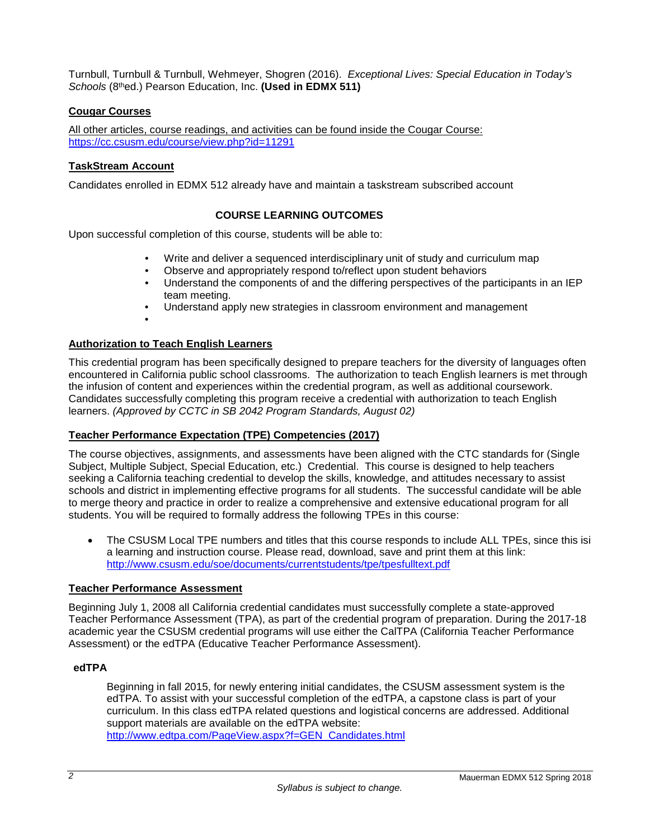Turnbull, Turnbull & Turnbull, Wehmeyer, Shogren (2016). *Exceptional Lives: Special Education in Today's Schools* (8thed.) Pearson Education, Inc. **(Used in EDMX 511)**

# <span id="page-3-0"></span>**Cougar Courses**

All other articles, course readings, and activities can be found inside the Cougar Course: <https://cc.csusm.edu/course/view.php?id=11291>

## <span id="page-3-1"></span>**TaskStream Account**

<span id="page-3-2"></span>Candidates enrolled in EDMX 512 already have and maintain a taskstream subscribed account

## **COURSE LEARNING OUTCOMES**

Upon successful completion of this course, students will be able to:

- Write and deliver a sequenced interdisciplinary unit of study and curriculum map
- Observe and appropriately respond to/reflect upon student behaviors
- Understand the components of and the differing perspectives of the participants in an IEP team meeting.
- Understand apply new strategies in classroom environment and management
- •

# <span id="page-3-3"></span>**Authorization to Teach English Learners**

This credential program has been specifically designed to prepare teachers for the diversity of languages often encountered in California public school classrooms. The authorization to teach English learners is met through the infusion of content and experiences within the credential program, as well as additional coursework. Candidates successfully completing this program receive a credential with authorization to teach English learners. *(Approved by CCTC in SB 2042 Program Standards, August 02)*

## <span id="page-3-4"></span>**Teacher Performance Expectation (TPE) Competencies (2017)**

The course objectives, assignments, and assessments have been aligned with the CTC standards for (Single Subject, Multiple Subject, Special Education, etc.) Credential. This course is designed to help teachers seeking a California teaching credential to develop the skills, knowledge, and attitudes necessary to assist schools and district in implementing effective programs for all students. The successful candidate will be able to merge theory and practice in order to realize a comprehensive and extensive educational program for all students. You will be required to formally address the following TPEs in this course:

• The CSUSM Local TPE numbers and titles that this course responds to include ALL TPEs, since this isi a learning and instruction course. Please read, download, save and print them at this link: <http://www.csusm.edu/soe/documents/currentstudents/tpe/tpesfulltext.pdf>

## <span id="page-3-5"></span>**Teacher Performance Assessment**

Beginning July 1, 2008 all California credential candidates must successfully complete a state-approved Teacher Performance Assessment (TPA), as part of the credential program of preparation. During the 2017-18 academic year the CSUSM credential programs will use either the CalTPA (California Teacher Performance Assessment) or the edTPA (Educative Teacher Performance Assessment).

## <span id="page-3-6"></span>**edTPA**

Beginning in fall 2015, for newly entering initial candidates, the CSUSM assessment system is the edTPA. To assist with your successful completion of the edTPA, a capstone class is part of your curriculum. In this class edTPA related questions and logistical concerns are addressed. Additional support materials are available on the edTPA website: [http://www.edtpa.com/PageView.aspx?f=GEN\\_Candidates.html](http://www.edtpa.com/PageView.aspx?f=GEN_Candidates.html)

Mauerman EDMX 512 Spring 2018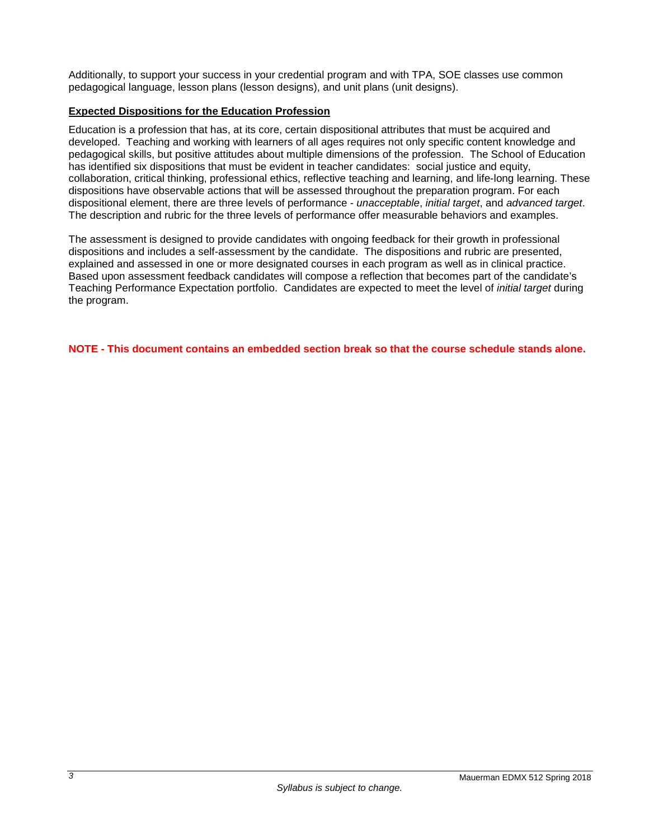Additionally, to support your success in your credential program and with TPA, SOE classes use common pedagogical language, lesson plans (lesson designs), and unit plans (unit designs).

# <span id="page-4-0"></span>**Expected Dispositions for the Education Profession**

Education is a profession that has, at its core, certain dispositional attributes that must be acquired and developed. Teaching and working with learners of all ages requires not only specific content knowledge and pedagogical skills, but positive attitudes about multiple dimensions of the profession. The School of Education has identified six dispositions that must be evident in teacher candidates: social justice and equity, collaboration, critical thinking, professional ethics, reflective teaching and learning, and life-long learning. These dispositions have observable actions that will be assessed throughout the preparation program. For each dispositional element, there are three levels of performance - *unacceptable*, *initial target*, and *advanced target*. The description and rubric for the three levels of performance offer measurable behaviors and examples.

The assessment is designed to provide candidates with ongoing feedback for their growth in professional dispositions and includes a self-assessment by the candidate. The dispositions and rubric are presented, explained and assessed in one or more designated courses in each program as well as in clinical practice. Based upon assessment feedback candidates will compose a reflection that becomes part of the candidate's Teaching Performance Expectation portfolio. Candidates are expected to meet the level of *initial target* during the program.

**NOTE - This document contains an embedded section break so that the course schedule stands alone.**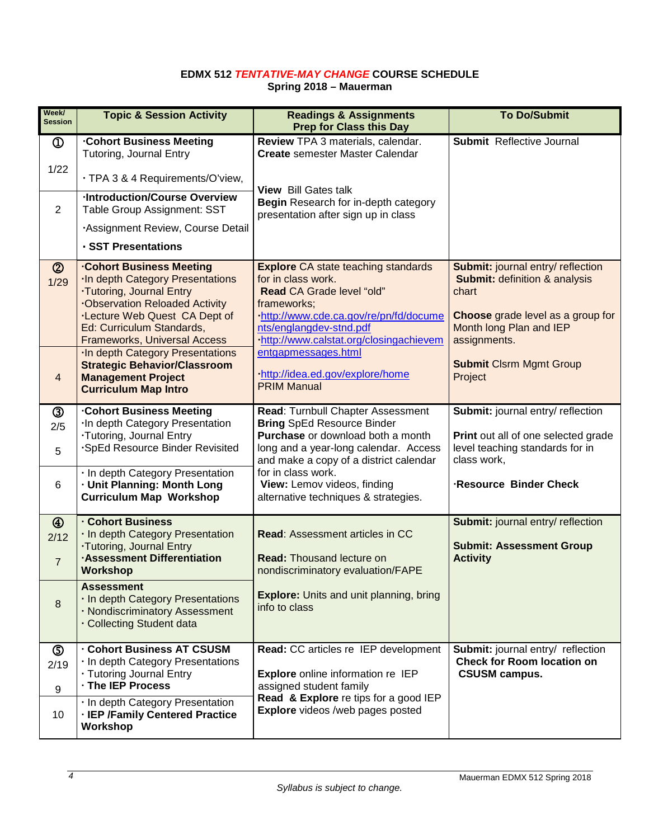#### **EDMX 512** *TENTATIVE-MAY CHANGE* **COURSE SCHEDULE Spring 2018 – Mauerman**

| Week/<br><b>Session</b>                 | <b>Topic &amp; Session Activity</b>                                                                                                                                                                                                                       | <b>Readings &amp; Assignments</b><br><b>Prep for Class this Day</b>                                                                                                                                                                                 | <b>To Do/Submit</b>                                                                                                                                                           |
|-----------------------------------------|-----------------------------------------------------------------------------------------------------------------------------------------------------------------------------------------------------------------------------------------------------------|-----------------------------------------------------------------------------------------------------------------------------------------------------------------------------------------------------------------------------------------------------|-------------------------------------------------------------------------------------------------------------------------------------------------------------------------------|
| $\mathbb{O}$                            | <b>Cohort Business Meeting</b><br>Tutoring, Journal Entry                                                                                                                                                                                                 | Review TPA 3 materials, calendar.<br><b>Create</b> semester Master Calendar                                                                                                                                                                         | <b>Submit</b> Reflective Journal                                                                                                                                              |
| 1/22                                    | · TPA 3 & 4 Requirements/O'view,                                                                                                                                                                                                                          |                                                                                                                                                                                                                                                     |                                                                                                                                                                               |
| 2                                       | <b>Introduction/Course Overview</b><br>Table Group Assignment: SST                                                                                                                                                                                        | <b>View</b> Bill Gates talk<br>Begin Research for in-depth category<br>presentation after sign up in class                                                                                                                                          |                                                                                                                                                                               |
|                                         | Assignment Review, Course Detail                                                                                                                                                                                                                          |                                                                                                                                                                                                                                                     |                                                                                                                                                                               |
|                                         | · SST Presentations                                                                                                                                                                                                                                       |                                                                                                                                                                                                                                                     |                                                                                                                                                                               |
| $^{\circledR}$<br>1/29                  | <b>Cohort Business Meeting</b><br><b>In depth Category Presentations</b><br>.Tutoring, Journal Entry<br><b>.Observation Reloaded Activity</b><br><b>.Lecture Web Quest CA Dept of</b><br>Ed: Curriculum Standards,<br><b>Frameworks, Universal Access</b> | <b>Explore CA state teaching standards</b><br>for in class work.<br>Read CA Grade level "old"<br>frameworks;<br>http://www.cde.ca.gov/re/pn/fd/docume<br>nts/englangdev-stnd.pdf<br>http://www.calstat.org/closingachievem                          | <b>Submit: journal entry/ reflection</b><br><b>Submit: definition &amp; analysis</b><br>chart<br>Choose grade level as a group for<br>Month long Plan and IEP<br>assignments. |
| $\overline{4}$                          | In depth Category Presentations<br><b>Strategic Behavior/Classroom</b><br><b>Management Project</b><br><b>Curriculum Map Intro</b>                                                                                                                        | entgapmessages.html<br>http://idea.ed.gov/explore/home<br><b>PRIM Manual</b>                                                                                                                                                                        | <b>Submit Clsrm Mgmt Group</b><br>Project                                                                                                                                     |
| ③<br>2/5<br>5<br>6                      | <b>Cohort Business Meeting</b><br>In depth Category Presentation<br>·Tutoring, Journal Entry<br><b>SpEd Resource Binder Revisited</b><br>· In depth Category Presentation<br>· Unit Planning: Month Long                                                  | Read: Turnbull Chapter Assessment<br><b>Bring SpEd Resource Binder</b><br>Purchase or download both a month<br>long and a year-long calendar. Access<br>and make a copy of a district calendar<br>for in class work.<br>View: Lemov videos, finding | Submit: journal entry/ reflection<br>Print out all of one selected grade<br>level teaching standards for in<br>class work,<br>Resource Binder Check                           |
|                                         | <b>Curriculum Map Workshop</b>                                                                                                                                                                                                                            | alternative techniques & strategies.                                                                                                                                                                                                                |                                                                                                                                                                               |
| $\circledA$<br>2/12<br>$\overline{7}$   | <b>Cohort Business</b><br>· In depth Category Presentation<br><b>·Tutoring, Journal Entry</b><br><b>Assessment Differentiation</b><br><b>Workshop</b>                                                                                                     | <b>Read: Assessment articles in CC</b><br><b>Read: Thousand lecture on</b><br>nondiscriminatory evaluation/FAPE                                                                                                                                     | Submit: journal entry/ reflection<br><b>Submit: Assessment Group</b><br><b>Activity</b>                                                                                       |
| 8                                       | <b>Assessment</b><br>· In depth Category Presentations<br>· Nondiscriminatory Assessment<br>· Collecting Student data                                                                                                                                     | <b>Explore:</b> Units and unit planning, bring<br>info to class                                                                                                                                                                                     |                                                                                                                                                                               |
| $\circledS$<br>2/19<br>$\boldsymbol{9}$ | <b>Cohort Business AT CSUSM</b><br>· In depth Category Presentations<br>· Tutoring Journal Entry<br>· The IEP Process                                                                                                                                     | Read: CC articles re IEP development<br><b>Explore</b> online information re IEP<br>assigned student family                                                                                                                                         | Submit: journal entry/ reflection<br><b>Check for Room location on</b><br><b>CSUSM campus.</b>                                                                                |
| 10                                      | . In depth Category Presentation<br>· IEP /Family Centered Practice<br>Workshop                                                                                                                                                                           | Read & Explore re tips for a good IEP<br><b>Explore</b> videos /web pages posted                                                                                                                                                                    |                                                                                                                                                                               |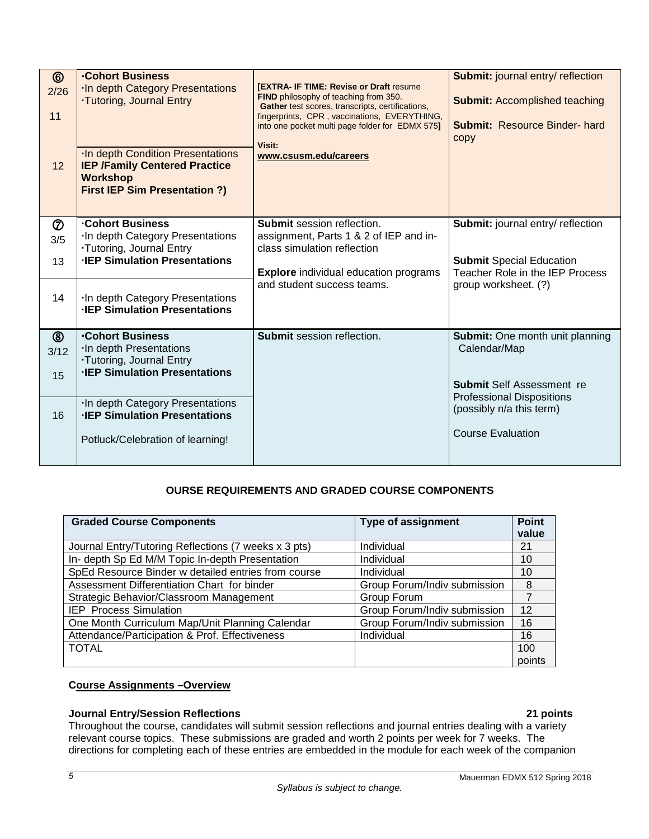| $^{\circledR}$<br>2/26<br>11<br>12 | <b>Cohort Business</b><br>In depth Category Presentations<br>.Tutoring, Journal Entry<br><b>In depth Condition Presentations</b><br><b>IEP /Family Centered Practice</b><br><b>Workshop</b><br><b>First IEP Sim Presentation ?)</b> | <b>[EXTRA- IF TIME: Revise or Draft resume</b><br>FIND philosophy of teaching from 350.<br>Gather test scores, transcripts, certifications,<br>fingerprints, CPR, vaccinations, EVERYTHING,<br>into one pocket multi page folder for EDMX 575]<br>Visit:<br>www.csusm.edu/careers | <b>Submit: journal entry/ reflection</b><br><b>Submit: Accomplished teaching</b><br><b>Submit: Resource Binder-hard</b><br>copy |
|------------------------------------|-------------------------------------------------------------------------------------------------------------------------------------------------------------------------------------------------------------------------------------|-----------------------------------------------------------------------------------------------------------------------------------------------------------------------------------------------------------------------------------------------------------------------------------|---------------------------------------------------------------------------------------------------------------------------------|
|                                    |                                                                                                                                                                                                                                     |                                                                                                                                                                                                                                                                                   |                                                                                                                                 |
| $\circledcirc$<br>3/5              | <b>Cohort Business</b><br>In depth Category Presentations<br>.Tutoring, Journal Entry                                                                                                                                               | <b>Submit session reflection.</b><br>assignment, Parts 1 & 2 of IEP and in-<br>class simulation reflection                                                                                                                                                                        | Submit: journal entry/ reflection                                                                                               |
| 13                                 | <b>IEP Simulation Presentations</b>                                                                                                                                                                                                 | <b>Explore</b> individual education programs                                                                                                                                                                                                                                      | <b>Submit Special Education</b><br>Teacher Role in the IEP Process                                                              |
| 14                                 | In depth Category Presentations<br><b>IEP Simulation Presentations</b>                                                                                                                                                              | and student success teams.                                                                                                                                                                                                                                                        | group worksheet. (?)                                                                                                            |
| $^{\circledR}$<br>3/12             | <b>Cohort Business</b><br>In depth Presentations                                                                                                                                                                                    | Submit session reflection.                                                                                                                                                                                                                                                        | <b>Submit:</b> One month unit planning<br>Calendar/Map                                                                          |
|                                    | <b>Tutoring, Journal Entry</b><br><b>IEP Simulation Presentations</b>                                                                                                                                                               |                                                                                                                                                                                                                                                                                   |                                                                                                                                 |
| 15                                 |                                                                                                                                                                                                                                     |                                                                                                                                                                                                                                                                                   | <b>Submit Self Assessment re</b>                                                                                                |
| 16                                 | In depth Category Presentations<br><b>IEP Simulation Presentations</b>                                                                                                                                                              |                                                                                                                                                                                                                                                                                   | <b>Professional Dispositions</b><br>(possibly n/a this term)                                                                    |
|                                    | Potluck/Celebration of learning!                                                                                                                                                                                                    |                                                                                                                                                                                                                                                                                   | <b>Course Evaluation</b>                                                                                                        |

# **OURSE REQUIREMENTS AND GRADED COURSE COMPONENTS**

<span id="page-6-0"></span>

| <b>Graded Course Components</b>                      | <b>Type of assignment</b>    | <b>Point</b><br>value |
|------------------------------------------------------|------------------------------|-----------------------|
| Journal Entry/Tutoring Reflections (7 weeks x 3 pts) | Individual                   | 21                    |
| In- depth Sp Ed M/M Topic In-depth Presentation      | Individual                   | 10                    |
| SpEd Resource Binder w detailed entries from course  | Individual                   | 10                    |
| Assessment Differentiation Chart for binder          | Group Forum/Indiv submission | 8                     |
| Strategic Behavior/Classroom Management              | Group Forum                  | 7                     |
| <b>IEP</b> Process Simulation                        | Group Forum/Indiv submission | 12                    |
| One Month Curriculum Map/Unit Planning Calendar      | Group Forum/Indiv submission | 16                    |
| Attendance/Participation & Prof. Effectiveness       | Individual                   | 16                    |
| <b>TOTAL</b>                                         |                              | 100                   |
|                                                      |                              | points                |

## <span id="page-6-1"></span>**Course Assignments –Overview**

# **Journal Entry/Session Reflections 21 points**

Throughout the course, candidates will submit session reflections and journal entries dealing with a variety relevant course topics. These submissions are graded and worth 2 points per week for 7 weeks. The directions for completing each of these entries are embedded in the module for each week of the companion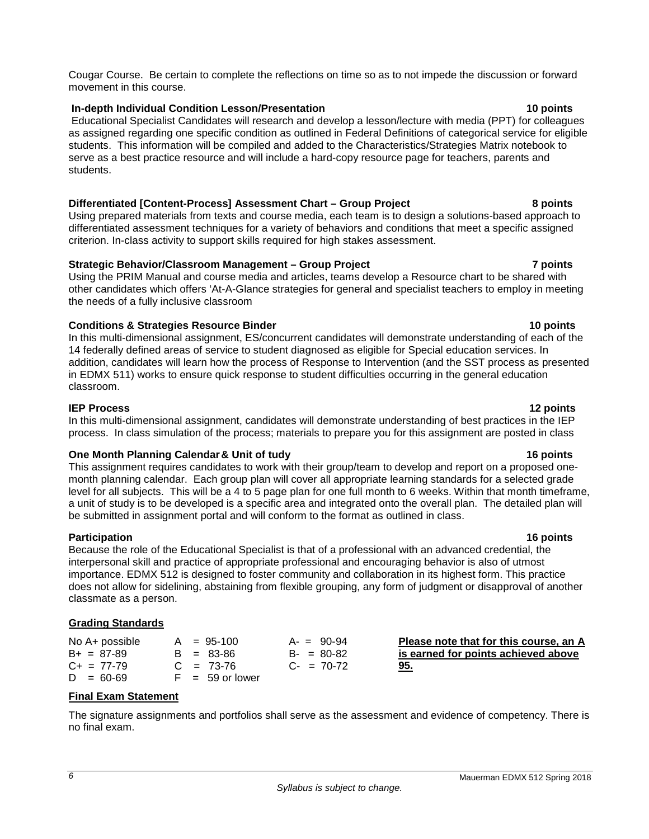Cougar Course. Be certain to complete the reflections on time so as to not impede the discussion or forward movement in this course.

#### **In-depth Individual Condition Lesson/Presentation 10 points**

Educational Specialist Candidates will research and develop a lesson/lecture with media (PPT) for colleagues as assigned regarding one specific condition as outlined in Federal Definitions of categorical service for eligible students. This information will be compiled and added to the Characteristics/Strategies Matrix notebook to serve as a best practice resource and will include a hard-copy resource page for teachers, parents and students.

# **Differentiated [Content-Process] Assessment Chart – Group Project 8 points**

Using prepared materials from texts and course media, each team is to design a solutions-based approach to differentiated assessment techniques for a variety of behaviors and conditions that meet a specific assigned criterion. In-class activity to support skills required for high stakes assessment.

## **Strategic Behavior/Classroom Management – Group Project 7 points**

Using the PRIM Manual and course media and articles, teams develop a Resource chart to be shared with other candidates which offers 'At-A-Glance strategies for general and specialist teachers to employ in meeting the needs of a fully inclusive classroom

## **Conditions & Strategies Resource Binder 10 points**

In this multi-dimensional assignment, ES/concurrent candidates will demonstrate understanding of each of the 14 federally defined areas of service to student diagnosed as eligible for Special education services. In addition, candidates will learn how the process of Response to Intervention (and the SST process as presented in EDMX 511) works to ensure quick response to student difficulties occurring in the general education classroom.

**IEP Process 12 points** In this multi-dimensional assignment, candidates will demonstrate understanding of best practices in the IEP process. In class simulation of the process; materials to prepare you for this assignment are posted in class

## **One Month Planning Calendar& Unit of tudy 16 points**

This assignment requires candidates to work with their group/team to develop and report on a proposed onemonth planning calendar. Each group plan will cover all appropriate learning standards for a selected grade level for all subjects. This will be a 4 to 5 page plan for one full month to 6 weeks. Within that month timeframe, a unit of study is to be developed is a specific area and integrated onto the overall plan. The detailed plan will be submitted in assignment portal and will conform to the format as outlined in class.

#### **Participation 16 points**

Because the role of the Educational Specialist is that of a professional with an advanced credential, the interpersonal skill and practice of appropriate professional and encouraging behavior is also of utmost importance. EDMX 512 is designed to foster community and collaboration in its highest form. This practice does not allow for sidelining, abstaining from flexible grouping, any form of judgment or disapproval of another classmate as a person.

#### <span id="page-7-1"></span><span id="page-7-0"></span>**Grading Standards**

| No A+ possible  | $A = 95-100$      | $A - 90-94$     | Please note that for this course, an A |
|-----------------|-------------------|-----------------|----------------------------------------|
| $B+ = 87-89$    | $B = 83 - 86$     | $B - = 80 - 82$ | is earned for points achieved above    |
| $C_{+}$ = 77-79 | $C = 73-76$       | $C_{2}$ = 70-72 | 95.                                    |
| $D = 60-69$     | $F = 59$ or lower |                 |                                        |

## <span id="page-7-2"></span>**Final Exam Statement**

The signature assignments and portfolios shall serve as the assessment and evidence of competency. There is no final exam.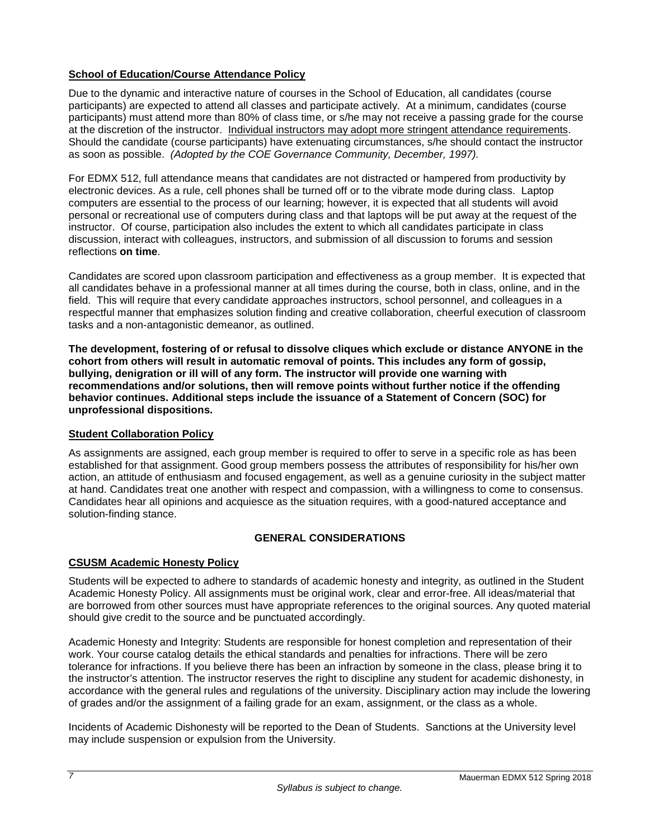# <span id="page-8-0"></span>**School of Education/Course Attendance Policy**

Due to the dynamic and interactive nature of courses in the School of Education, all candidates (course participants) are expected to attend all classes and participate actively. At a minimum, candidates (course participants) must attend more than 80% of class time, or s/he may not receive a passing grade for the course at the discretion of the instructor. Individual instructors may adopt more stringent attendance requirements. Should the candidate (course participants) have extenuating circumstances, s/he should contact the instructor as soon as possible. *(Adopted by the COE Governance Community, December, 1997).*

For EDMX 512, full attendance means that candidates are not distracted or hampered from productivity by electronic devices. As a rule, cell phones shall be turned off or to the vibrate mode during class. Laptop computers are essential to the process of our learning; however, it is expected that all students will avoid personal or recreational use of computers during class and that laptops will be put away at the request of the instructor. Of course, participation also includes the extent to which all candidates participate in class discussion, interact with colleagues, instructors, and submission of all discussion to forums and session reflections **on time**.

Candidates are scored upon classroom participation and effectiveness as a group member. It is expected that all candidates behave in a professional manner at all times during the course, both in class, online, and in the field. This will require that every candidate approaches instructors, school personnel, and colleagues in a respectful manner that emphasizes solution finding and creative collaboration, cheerful execution of classroom tasks and a non-antagonistic demeanor, as outlined.

**The development, fostering of or refusal to dissolve cliques which exclude or distance ANYONE in the cohort from others will result in automatic removal of points. This includes any form of gossip, bullying, denigration or ill will of any form. The instructor will provide one warning with recommendations and/or solutions, then will remove points without further notice if the offending behavior continues. Additional steps include the issuance of a Statement of Concern (SOC) for unprofessional dispositions.**

## <span id="page-8-1"></span>**Student Collaboration Policy**

As assignments are assigned, each group member is required to offer to serve in a specific role as has been established for that assignment. Good group members possess the attributes of responsibility for his/her own action, an attitude of enthusiasm and focused engagement, as well as a genuine curiosity in the subject matter at hand. Candidates treat one another with respect and compassion, with a willingness to come to consensus. Candidates hear all opinions and acquiesce as the situation requires, with a good-natured acceptance and solution-finding stance.

# **GENERAL CONSIDERATIONS**

# <span id="page-8-2"></span>**CSUSM Academic Honesty Policy**

Students will be expected to adhere to standards of academic honesty and integrity, as outlined in the Student Academic Honesty Policy. All assignments must be original work, clear and error-free. All ideas/material that are borrowed from other sources must have appropriate references to the original sources. Any quoted material should give credit to the source and be punctuated accordingly.

Academic Honesty and Integrity: Students are responsible for honest completion and representation of their work. Your course catalog details the ethical standards and penalties for infractions. There will be zero tolerance for infractions. If you believe there has been an infraction by someone in the class, please bring it to the instructor's attention. The instructor reserves the right to discipline any student for academic dishonesty, in accordance with the general rules and regulations of the university. Disciplinary action may include the lowering of grades and/or the assignment of a failing grade for an exam, assignment, or the class as a whole.

Incidents of Academic Dishonesty will be reported to the Dean of Students. Sanctions at the University level may include suspension or expulsion from the University.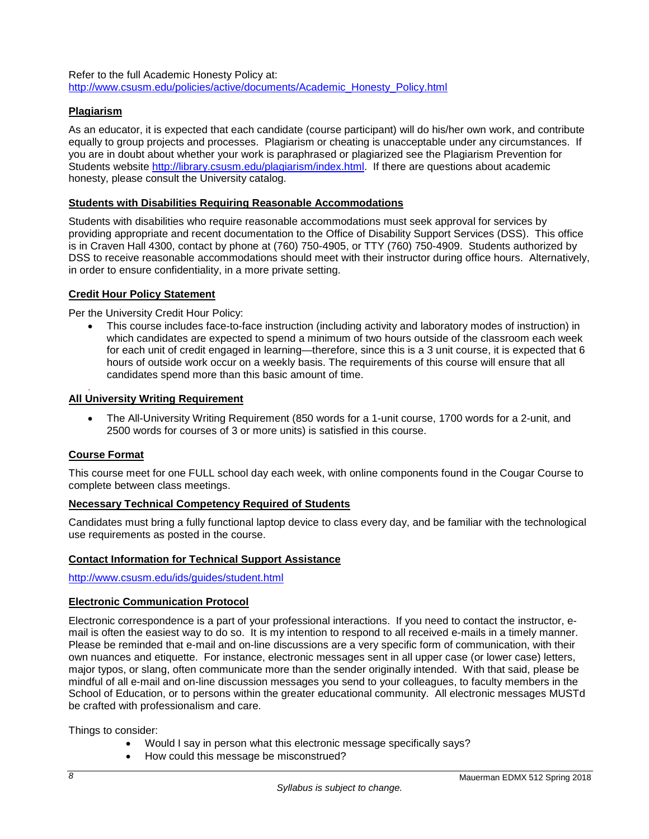Refer to the full Academic Honesty Policy at: [http://www.csusm.edu/policies/active/documents/Academic\\_Honesty\\_Policy.html](http://www.csusm.edu/policies/active/documents/Academic_Honesty_Policy.html)

# <span id="page-9-0"></span>**Plagiarism**

As an educator, it is expected that each candidate (course participant) will do his/her own work, and contribute equally to group projects and processes. Plagiarism or cheating is unacceptable under any circumstances. If you are in doubt about whether your work is paraphrased or plagiarized see the Plagiarism Prevention for Students website [http://library.csusm.edu/plagiarism/index.html.](http://library.csusm.edu/plagiarism/index.html) If there are questions about academic honesty, please consult the University catalog.

#### **Students with Disabilities Requiring Reasonable Accommodations**

Students with disabilities who require reasonable accommodations must seek approval for services by providing appropriate and recent documentation to the Office of Disability Support Services (DSS). This office is in Craven Hall 4300, contact by phone at (760) 750-4905, or TTY (760) 750-4909. Students authorized by DSS to receive reasonable accommodations should meet with their instructor during office hours. Alternatively, in order to ensure confidentiality, in a more private setting.

## <span id="page-9-1"></span>**Credit Hour Policy Statement**

Per the University Credit Hour Policy:

• This course includes face-to-face instruction (including activity and laboratory modes of instruction) in which candidates are expected to spend a minimum of two hours outside of the classroom each week for each unit of credit engaged in learning—therefore, since this is a 3 unit course, it is expected that 6 hours of outside work occur on a weekly basis. The requirements of this course will ensure that all candidates spend more than this basic amount of time.

#### <span id="page-9-2"></span>. **All University Writing Requirement**

• The All-University Writing Requirement (850 words for a 1-unit course, 1700 words for a 2-unit, and 2500 words for courses of 3 or more units) is satisfied in this course.

#### <span id="page-9-3"></span>**Course Format**

<span id="page-9-4"></span>This course meet for one FULL school day each week, with online components found in the Cougar Course to complete between class meetings.

## <span id="page-9-5"></span>**Necessary Technical Competency Required of Students**

Candidates must bring a fully functional laptop device to class every day, and be familiar with the technological use requirements as posted in the course.

## <span id="page-9-6"></span>**Contact Information for Technical Support Assistance**

<http://www.csusm.edu/ids/guides/student.html>

#### <span id="page-9-7"></span>**Electronic Communication Protocol**

Electronic correspondence is a part of your professional interactions. If you need to contact the instructor, email is often the easiest way to do so. It is my intention to respond to all received e-mails in a timely manner. Please be reminded that e-mail and on-line discussions are a very specific form of communication, with their own nuances and etiquette. For instance, electronic messages sent in all upper case (or lower case) letters, major typos, or slang, often communicate more than the sender originally intended. With that said, please be mindful of all e-mail and on-line discussion messages you send to your colleagues, to faculty members in the School of Education, or to persons within the greater educational community. All electronic messages MUSTd be crafted with professionalism and care.

Things to consider:

- Would I say in person what this electronic message specifically says?
- How could this message be misconstrued?